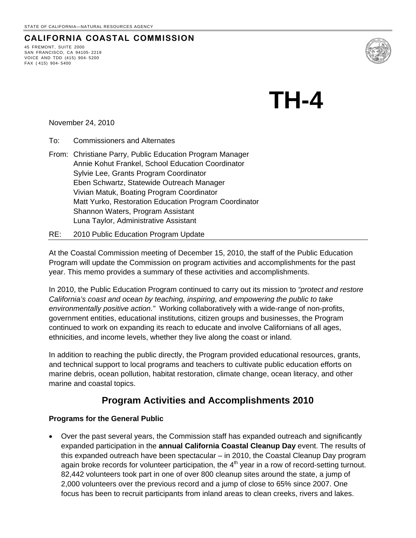### **CALIFORNIA COASTAL COMMISSION**

45 FREMONT, SUITE 2000 SAN FRANCISCO, CA 94105- 2219 VOICE AND TDD (415) 904- 5200 FAX ( 415) 904- 5400



**TH-4** 

November 24, 2010

To: Commissioners and Alternates

- From: Christiane Parry, Public Education Program Manager Annie Kohut Frankel, School Education Coordinator Sylvie Lee, Grants Program Coordinator Eben Schwartz, Statewide Outreach Manager Vivian Matuk, Boating Program Coordinator Matt Yurko, Restoration Education Program Coordinator Shannon Waters, Program Assistant Luna Taylor, Administrative Assistant
- RE: 2010 Public Education Program Update

At the Coastal Commission meeting of December 15, 2010, the staff of the Public Education Program will update the Commission on program activities and accomplishments for the past year. This memo provides a summary of these activities and accomplishments.

In 2010, the Public Education Program continued to carry out its mission to *"protect and restore California's coast and ocean by teaching, inspiring, and empowering the public to take environmentally positive action."* Working collaboratively with a wide-range of non-profits, government entities, educational institutions, citizen groups and businesses, the Program continued to work on expanding its reach to educate and involve Californians of all ages, ethnicities, and income levels, whether they live along the coast or inland.

In addition to reaching the public directly, the Program provided educational resources, grants, and technical support to local programs and teachers to cultivate public education efforts on marine debris, ocean pollution, habitat restoration, climate change, ocean literacy, and other marine and coastal topics.

#### **Program Activities and Accomplishments 2010**

#### **Programs for the General Public**

• Over the past several years, the Commission staff has expanded outreach and significantly expanded participation in the **annual California Coastal Cleanup Day** event. The results of this expanded outreach have been spectacular – in 2010, the Coastal Cleanup Day program again broke records for volunteer participation, the  $4<sup>th</sup>$  year in a row of record-setting turnout. 82,442 volunteers took part in one of over 800 cleanup sites around the state, a jump of 2,000 volunteers over the previous record and a jump of close to 65% since 2007. One focus has been to recruit participants from inland areas to clean creeks, rivers and lakes.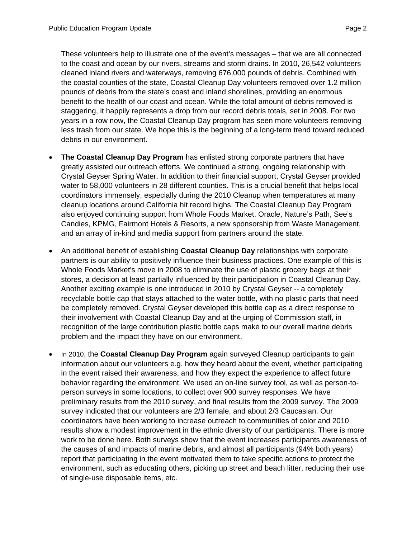These volunteers help to illustrate one of the event's messages – that we are all connected to the coast and ocean by our rivers, streams and storm drains. In 2010, 26,542 volunteers cleaned inland rivers and waterways, removing 676,000 pounds of debris. Combined with the coastal counties of the state, Coastal Cleanup Day volunteers removed over 1.2 million pounds of debris from the state's coast and inland shorelines, providing an enormous benefit to the health of our coast and ocean. While the total amount of debris removed is staggering, it happily represents a drop from our record debris totals, set in 2008. For two years in a row now, the Coastal Cleanup Day program has seen more volunteers removing less trash from our state. We hope this is the beginning of a long-term trend toward reduced debris in our environment.

- **The Coastal Cleanup Day Program** has enlisted strong corporate partners that have greatly assisted our outreach efforts. We continued a strong, ongoing relationship with Crystal Geyser Spring Water. In addition to their financial support, Crystal Geyser provided water to 58,000 volunteers in 28 different counties. This is a crucial benefit that helps local coordinators immensely, especially during the 2010 Cleanup when temperatures at many cleanup locations around California hit record highs. The Coastal Cleanup Day Program also enjoyed continuing support from Whole Foods Market, Oracle, Nature's Path, See's Candies, KPMG, Fairmont Hotels & Resorts, a new sponsorship from Waste Management, and an array of in-kind and media support from partners around the state.
- An additional benefit of establishing **Coastal Cleanup Day** relationships with corporate partners is our ability to positively influence their business practices. One example of this is Whole Foods Market's move in 2008 to eliminate the use of plastic grocery bags at their stores, a decision at least partially influenced by their participation in Coastal Cleanup Day. Another exciting example is one introduced in 2010 by Crystal Geyser -- a completely recyclable bottle cap that stays attached to the water bottle, with no plastic parts that need be completely removed. Crystal Geyser developed this bottle cap as a direct response to their involvement with Coastal Cleanup Day and at the urging of Commission staff, in recognition of the large contribution plastic bottle caps make to our overall marine debris problem and the impact they have on our environment.
- In 2010, the **Coastal Cleanup Day Program** again surveyed Cleanup participants to gain information about our volunteers e.g. how they heard about the event, whether participating in the event raised their awareness, and how they expect the experience to affect future behavior regarding the environment. We used an on-line survey tool, as well as person-toperson surveys in some locations, to collect over 900 survey responses. We have preliminary results from the 2010 survey, and final results from the 2009 survey. The 2009 survey indicated that our volunteers are 2/3 female, and about 2/3 Caucasian. Our coordinators have been working to increase outreach to communities of color and 2010 results show a modest improvement in the ethnic diversity of our participants. There is more work to be done here. Both surveys show that the event increases participants awareness of the causes of and impacts of marine debris, and almost all participants (94% both years) report that participating in the event motivated them to take specific actions to protect the environment, such as educating others, picking up street and beach litter, reducing their use of single-use disposable items, etc.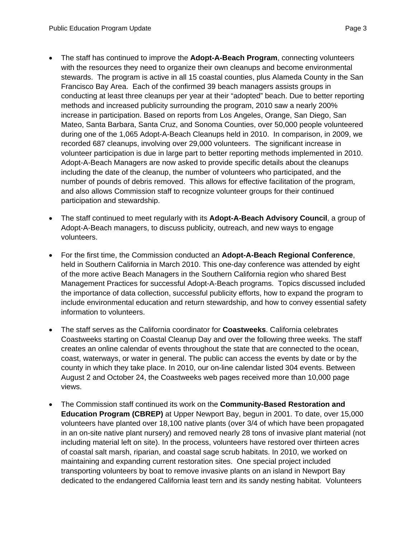participation and stewardship.

- The staff has continued to improve the **Adopt-A-Beach Program**, connecting volunteers with the resources they need to organize their own cleanups and become environmental stewards. The program is active in all 15 coastal counties, plus Alameda County in the San Francisco Bay Area. Each of the confirmed 39 beach managers assists groups in conducting at least three cleanups per year at their "adopted" beach. Due to better reporting methods and increased publicity surrounding the program, 2010 saw a nearly 200% increase in participation. Based on reports from Los Angeles, Orange, San Diego, San Mateo, Santa Barbara, Santa Cruz, and Sonoma Counties, over 50,000 people volunteered during one of the 1,065 Adopt-A-Beach Cleanups held in 2010. In comparison, in 2009, we recorded 687 cleanups, involving over 29,000 volunteers. The significant increase in volunteer participation is due in large part to better reporting methods implemented in 2010. Adopt-A-Beach Managers are now asked to provide specific details about the cleanups including the date of the cleanup, the number of volunteers who participated, and the number of pounds of debris removed. This allows for effective facilitation of the program, and also allows Commission staff to recognize volunteer groups for their continued
- The staff continued to meet regularly with its **Adopt-A-Beach Advisory Council**, a group of Adopt-A-Beach managers, to discuss publicity, outreach, and new ways to engage volunteers.
- For the first time, the Commission conducted an **Adopt-A-Beach Regional Conference**, held in Southern California in March 2010. This one-day conference was attended by eight of the more active Beach Managers in the Southern California region who shared Best Management Practices for successful Adopt-A-Beach programs. Topics discussed included the importance of data collection, successful publicity efforts, how to expand the program to include environmental education and return stewardship, and how to convey essential safety information to volunteers.
- The staff serves as the California coordinator for **Coastweeks**. California celebrates Coastweeks starting on Coastal Cleanup Day and over the following three weeks. The staff creates an online calendar of events throughout the state that are connected to the ocean, coast, waterways, or water in general. The public can access the events by date or by the county in which they take place. In 2010, our on-line calendar listed 304 events. Between August 2 and October 24, the Coastweeks web pages received more than 10,000 page views.
- The Commission staff continued its work on the **Community-Based Restoration and Education Program (CBREP)** at Upper Newport Bay, begun in 2001. To date, over 15,000 volunteers have planted over 18,100 native plants (over 3/4 of which have been propagated in an on-site native plant nursery) and removed nearly 28 tons of invasive plant material (not including material left on site). In the process, volunteers have restored over thirteen acres of coastal salt marsh, riparian, and coastal sage scrub habitats. In 2010, we worked on maintaining and expanding current restoration sites. One special project included transporting volunteers by boat to remove invasive plants on an island in Newport Bay dedicated to the endangered California least tern and its sandy nesting habitat. Volunteers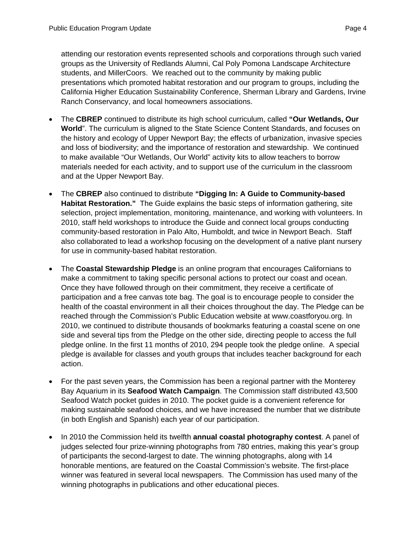attending our restoration events represented schools and corporations through such varied groups as the University of Redlands Alumni, Cal Poly Pomona Landscape Architecture students, and MillerCoors. We reached out to the community by making public presentations which promoted habitat restoration and our program to groups, including the California Higher Education Sustainability Conference, Sherman Library and Gardens, Irvine Ranch Conservancy, and local homeowners associations.

- The **CBREP** continued to distribute its high school curriculum, called **"Our Wetlands, Our World**". The curriculum is aligned to the State Science Content Standards, and focuses on the history and ecology of Upper Newport Bay; the effects of urbanization, invasive species and loss of biodiversity; and the importance of restoration and stewardship. We continued to make available "Our Wetlands, Our World" activity kits to allow teachers to borrow materials needed for each activity, and to support use of the curriculum in the classroom and at the Upper Newport Bay.
- The **CBREP** also continued to distribute **"Digging In: A Guide to Community-based Habitat Restoration."** The Guide explains the basic steps of information gathering, site selection, project implementation, monitoring, maintenance, and working with volunteers. In 2010, staff held workshops to introduce the Guide and connect local groups conducting community-based restoration in Palo Alto, Humboldt, and twice in Newport Beach. Staff also collaborated to lead a workshop focusing on the development of a native plant nursery for use in community-based habitat restoration.
- The **Coastal Stewardship Pledge** is an online program that encourages Californians to make a commitment to taking specific personal actions to protect our coast and ocean. Once they have followed through on their commitment, they receive a certificate of participation and a free canvas tote bag. The goal is to encourage people to consider the health of the coastal environment in all their choices throughout the day. The Pledge can be reached through the Commission's Public Education website at www.coastforyou.org. In 2010, we continued to distribute thousands of bookmarks featuring a coastal scene on one side and several tips from the Pledge on the other side, directing people to access the full pledge online. In the first 11 months of 2010, 294 people took the pledge online. A special pledge is available for classes and youth groups that includes teacher background for each action.
- For the past seven years, the Commission has been a regional partner with the Monterey Bay Aquarium in its **Seafood Watch Campaign**. The Commission staff distributed 43,500 Seafood Watch pocket guides in 2010. The pocket guide is a convenient reference for making sustainable seafood choices, and we have increased the number that we distribute (in both English and Spanish) each year of our participation.
- In 2010 the Commission held its twelfth **annual coastal photography contest**. A panel of judges selected four prize-winning photographs from 780 entries, making this year's group of participants the second-largest to date. The winning photographs, along with 14 honorable mentions, are featured on the Coastal Commission's website. The first-place winner was featured in several local newspapers. The Commission has used many of the winning photographs in publications and other educational pieces.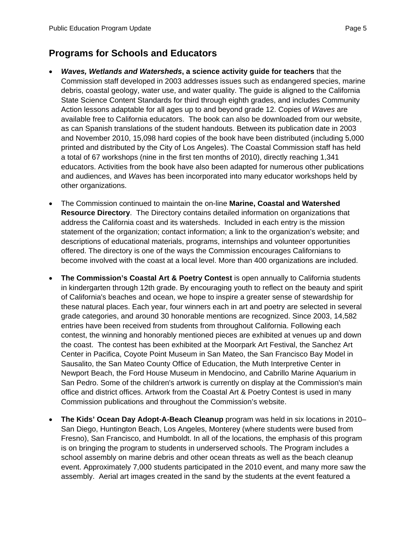## **Programs for Schools and Educators**

- *Waves, Wetlands and Watersheds***, a science activity guide for teachers** that the Commission staff developed in 2003 addresses issues such as endangered species, marine debris, coastal geology, water use, and water quality. The guide is aligned to the California State Science Content Standards for third through eighth grades, and includes Community Action lessons adaptable for all ages up to and beyond grade 12. Copies of *Waves* are available free to California educators. The book can also be downloaded from our website, as can Spanish translations of the student handouts. Between its publication date in 2003 and November 2010, 15,098 hard copies of the book have been distributed (including 5,000 printed and distributed by the City of Los Angeles). The Coastal Commission staff has held a total of 67 workshops (nine in the first ten months of 2010), directly reaching 1,341 educators. Activities from the book have also been adapted for numerous other publications and audiences, and *Waves* has been incorporated into many educator workshops held by other organizations.
- The Commission continued to maintain the on-line **Marine, Coastal and Watershed Resource Directory**. The Directory contains detailed information on organizations that address the California coast and its watersheds. Included in each entry is the mission statement of the organization; contact information; a link to the organization's website; and descriptions of educational materials, programs, internships and volunteer opportunities offered. The directory is one of the ways the Commission encourages Californians to become involved with the coast at a local level. More than 400 organizations are included.
- **The Commission's Coastal Art & Poetry Contest** is open annually to California students in kindergarten through 12th grade. By encouraging youth to reflect on the beauty and spirit of California's beaches and ocean, we hope to inspire a greater sense of stewardship for these natural places. Each year, four winners each in art and poetry are selected in several grade categories, and around 30 honorable mentions are recognized. Since 2003, 14,582 entries have been received from students from throughout California. Following each contest, the winning and honorably mentioned pieces are exhibited at venues up and down the coast. The contest has been exhibited at the Moorpark Art Festival, the Sanchez Art Center in Pacifica, Coyote Point Museum in San Mateo, the San Francisco Bay Model in Sausalito, the San Mateo County Office of Education, the Muth Interpretive Center in Newport Beach, the Ford House Museum in Mendocino, and Cabrillo Marine Aquarium in San Pedro. Some of the children's artwork is currently on display at the Commission's main office and district offices. Artwork from the Coastal Art & Poetry Contest is used in many Commission publications and throughout the Commission's website.
- **The Kids' Ocean Day Adopt-A-Beach Cleanup** program was held in six locations in 2010– San Diego, Huntington Beach, Los Angeles, Monterey (where students were bused from Fresno), San Francisco, and Humboldt. In all of the locations, the emphasis of this program is on bringing the program to students in underserved schools. The Program includes a school assembly on marine debris and other ocean threats as well as the beach cleanup event. Approximately 7,000 students participated in the 2010 event, and many more saw the assembly. Aerial art images created in the sand by the students at the event featured a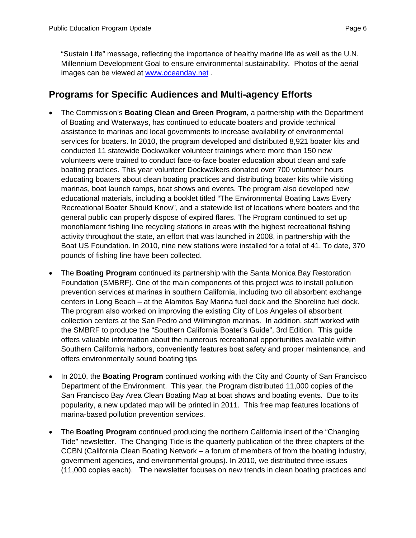"Sustain Life" message, reflecting the importance of healthy marine life as well as the U.N. Millennium Development Goal to ensure environmental sustainability. Photos of the aerial images can be viewed at [www.oceanday.net](http://www.oceanday.net/) .

## **Programs for Specific Audiences and Multi-agency Efforts**

- The Commission's **Boating Clean and Green Program,** a partnership with the Department of Boating and Waterways, has continued to educate boaters and provide technical assistance to marinas and local governments to increase availability of environmental services for boaters. In 2010, the program developed and distributed 8,921 boater kits and conducted 11 statewide Dockwalker volunteer trainings where more than 150 new volunteers were trained to conduct face-to-face boater education about clean and safe boating practices. This year volunteer Dockwalkers donated over 700 volunteer hours educating boaters about clean boating practices and distributing boater kits while visiting marinas, boat launch ramps, boat shows and events. The program also developed new educational materials, including a booklet titled "The Environmental Boating Laws Every Recreational Boater Should Know", and a statewide list of locations where boaters and the general public can properly dispose of expired flares. The Program continued to set up monofilament fishing line recycling stations in areas with the highest recreational fishing activity throughout the state, an effort that was launched in 2008, in partnership with the Boat US Foundation. In 2010, nine new stations were installed for a total of 41. To date, 370 pounds of fishing line have been collected.
- The **Boating Program** continued its partnership with the Santa Monica Bay Restoration Foundation (SMBRF). One of the main components of this project was to install pollution prevention services at marinas in southern California, including two oil absorbent exchange centers in Long Beach – at the Alamitos Bay Marina fuel dock and the Shoreline fuel dock. The program also worked on improving the existing City of Los Angeles oil absorbent collection centers at the San Pedro and Wilmington marinas. In addition, staff worked with the SMBRF to produce the "Southern California Boater's Guide", 3rd Edition. This guide offers valuable information about the numerous recreational opportunities available within Southern California harbors, conveniently features boat safety and proper maintenance, and offers environmentally sound boating tips
- In 2010, the **Boating Program** continued working with the City and County of San Francisco Department of the Environment. This year, the Program distributed 11,000 copies of the San Francisco Bay Area Clean Boating Map at boat shows and boating events. Due to its popularity, a new updated map will be printed in 2011. This free map features locations of marina-based pollution prevention services.
- The **Boating Program** continued producing the northern California insert of the "Changing Tide" newsletter. The Changing Tide is the quarterly publication of the three chapters of the CCBN (California Clean Boating Network – a forum of members of from the boating industry, government agencies, and environmental groups). In 2010, we distributed three issues (11,000 copies each). The newsletter focuses on new trends in clean boating practices and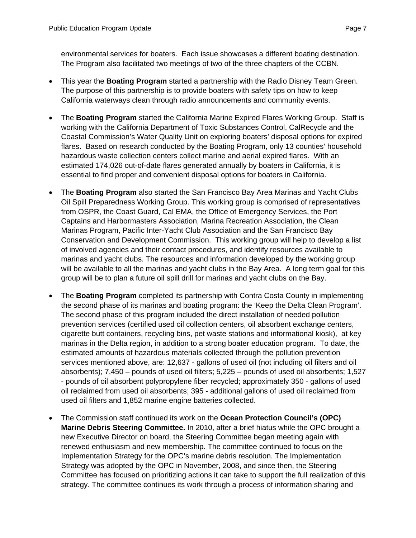environmental services for boaters. Each issue showcases a different boating destination. The Program also facilitated two meetings of two of the three chapters of the CCBN.

- This year the **Boating Program** started a partnership with the Radio Disney Team Green. The purpose of this partnership is to provide boaters with safety tips on how to keep California waterways clean through radio announcements and community events.
- The **Boating Program** started the California Marine Expired Flares Working Group. Staff is working with the California Department of Toxic Substances Control, CalRecycle and the Coastal Commission's Water Quality Unit on exploring boaters' disposal options for expired flares. Based on research conducted by the Boating Program, only 13 counties' household hazardous waste collection centers collect marine and aerial expired flares. With an estimated 174,026 out-of-date flares generated annually by boaters in California, it is essential to find proper and convenient disposal options for boaters in California.
- The **Boating Program** also started the San Francisco Bay Area Marinas and Yacht Clubs Oil Spill Preparedness Working Group. This working group is comprised of representatives from OSPR, the Coast Guard, Cal EMA, the Office of Emergency Services, the Port Captains and Harbormasters Association, Marina Recreation Association, the Clean Marinas Program, Pacific Inter-Yacht Club Association and the San Francisco Bay Conservation and Development Commission. This working group will help to develop a list of involved agencies and their contact procedures, and identify resources available to marinas and yacht clubs. The resources and information developed by the working group will be available to all the marinas and yacht clubs in the Bay Area. A long term goal for this group will be to plan a future oil spill drill for marinas and yacht clubs on the Bay.
- The **Boating Program** completed its partnership with Contra Costa County in implementing the second phase of its marinas and boating program: the 'Keep the Delta Clean Program'. The second phase of this program included the direct installation of needed pollution prevention services (certified used oil collection centers, oil absorbent exchange centers, cigarette butt containers, recycling bins, pet waste stations and informational kiosk), at key marinas in the Delta region, in addition to a strong boater education program. To date, the estimated amounts of hazardous materials collected through the pollution prevention services mentioned above, are: 12,637 - gallons of used oil (not including oil filters and oil absorbents); 7,450 – pounds of used oil filters; 5,225 – pounds of used oil absorbents; 1,527 - pounds of oil absorbent polypropylene fiber recycled; approximately 350 - gallons of used oil reclaimed from used oil absorbents; 395 - additional gallons of used oil reclaimed from used oil filters and 1,852 marine engine batteries collected.
- The Commission staff continued its work on the **Ocean Protection Council's (OPC) Marine Debris Steering Committee.** In 2010, after a brief hiatus while the OPC brought a new Executive Director on board, the Steering Committee began meeting again with renewed enthusiasm and new membership. The committee continued to focus on the Implementation Strategy for the OPC's marine debris resolution. The Implementation Strategy was adopted by the OPC in November, 2008, and since then, the Steering Committee has focused on prioritizing actions it can take to support the full realization of this strategy. The committee continues its work through a process of information sharing and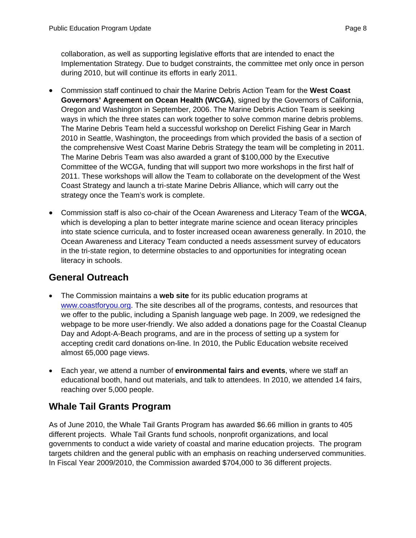collaboration, as well as supporting legislative efforts that are intended to enact the Implementation Strategy. Due to budget constraints, the committee met only once in person during 2010, but will continue its efforts in early 2011.

- Commission staff continued to chair the Marine Debris Action Team for the **West Coast Governors' Agreement on Ocean Health (WCGA)**, signed by the Governors of California, Oregon and Washington in September, 2006. The Marine Debris Action Team is seeking ways in which the three states can work together to solve common marine debris problems. The Marine Debris Team held a successful workshop on Derelict Fishing Gear in March 2010 in Seattle, Washington, the proceedings from which provided the basis of a section of the comprehensive West Coast Marine Debris Strategy the team will be completing in 2011. The Marine Debris Team was also awarded a grant of \$100,000 by the Executive Committee of the WCGA, funding that will support two more workshops in the first half of 2011. These workshops will allow the Team to collaborate on the development of the West Coast Strategy and launch a tri-state Marine Debris Alliance, which will carry out the strategy once the Team's work is complete.
- Commission staff is also co-chair of the Ocean Awareness and Literacy Team of the **WCGA**, which is developing a plan to better integrate marine science and ocean literacy principles into state science curricula, and to foster increased ocean awareness generally. In 2010, the Ocean Awareness and Literacy Team conducted a needs assessment survey of educators in the tri-state region, to determine obstacles to and opportunities for integrating ocean literacy in schools.

### **General Outreach**

- The Commission maintains a **web site** for its public education programs at [www.coastforyou.org.](http://www.coastforyou.org/) The site describes all of the programs, contests, and resources that we offer to the public, including a Spanish language web page. In 2009, we redesigned the webpage to be more user-friendly. We also added a donations page for the Coastal Cleanup Day and Adopt-A-Beach programs, and are in the process of setting up a system for accepting credit card donations on-line. In 2010, the Public Education website received almost 65,000 page views.
- Each year, we attend a number of **environmental fairs and events**, where we staff an educational booth, hand out materials, and talk to attendees. In 2010, we attended 14 fairs, reaching over 5,000 people.

# **Whale Tail Grants Program**

As of June 2010, the Whale Tail Grants Program has awarded \$6.66 million in grants to 405 different projects. Whale Tail Grants fund schools, nonprofit organizations, and local governments to conduct a wide variety of coastal and marine education projects. The program targets children and the general public with an emphasis on reaching underserved communities. In Fiscal Year 2009/2010, the Commission awarded \$704,000 to 36 different projects.